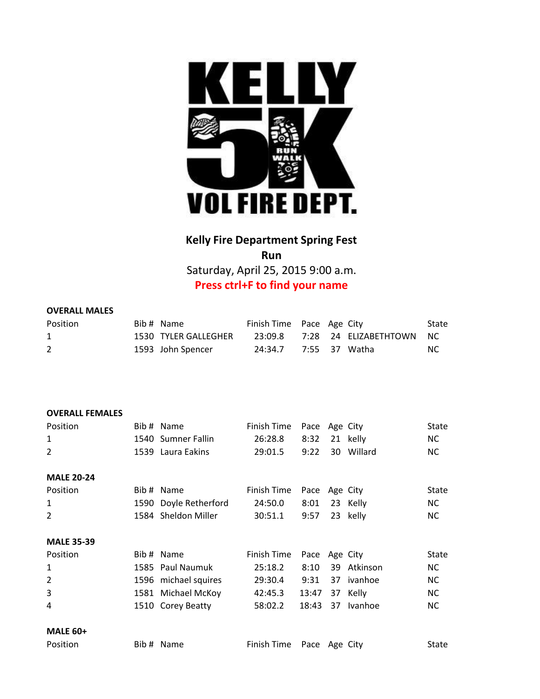

## **Kelly Fire Department Spring Fest Run**

Saturday, April 25, 2015 9:00 a.m. **Press ctrl+F to find your name**

## **OVERALL MALES**

| <b>Position</b> | Bib # Name           | Finish Time Pace Age City |  |                                  | State |
|-----------------|----------------------|---------------------------|--|----------------------------------|-------|
|                 | 1530 TYLER GALLEGHER |                           |  | 23:09.8 7:28 24 ELIZABETHTOWN NC |       |
|                 | 1593 John Spencer    | 24:34.7 7:55 37 Watha     |  |                                  | NC.   |

## **OVERALL FEMALES**

| Position          | Bib # Name            | Finish Time | Pace Age City |    |                | State        |
|-------------------|-----------------------|-------------|---------------|----|----------------|--------------|
| 1                 | 1540 Sumner Fallin    | 26:28.8     | 8:32          |    | 21 kelly       | NC.          |
| $\overline{2}$    | 1539 Laura Eakins     | 29:01.5     | 9:22          |    | 30 Willard     | <b>NC</b>    |
|                   |                       |             |               |    |                |              |
| <b>MALE 20-24</b> |                       |             |               |    |                |              |
| Position          | Bib # Name            | Finish Time | Pace Age City |    |                | <b>State</b> |
| 1                 | 1590 Doyle Retherford | 24:50.0     | 8:01          |    | 23 Kelly       | NC.          |
| 2                 | 1584 Sheldon Miller   | 30:51.1     | 9:57          |    | 23 kelly       | <b>NC</b>    |
|                   |                       |             |               |    |                |              |
| <b>MALE 35-39</b> |                       |             |               |    |                |              |
| Position          | Bib # Name            | Finish Time | Pace Age City |    |                | <b>State</b> |
| 1                 | 1585 Paul Naumuk      | 25:18.2     | 8:10          | 39 | Atkinson       | <b>NC</b>    |
| $\overline{2}$    | 1596 michael squires  | 29:30.4     | 9:31          |    | 37 ivanhoe     | <b>NC</b>    |
| 3                 | 1581 Michael McKoy    | 42:45.3     | 13:47         |    | 37 Kelly       | NC.          |
| 4                 | 1510 Corey Beatty     | 58:02.2     | 18:43         | 37 | <b>Ivanhoe</b> | <b>NC</b>    |
|                   |                       |             |               |    |                |              |
| <b>MALE 60+</b>   |                       |             |               |    |                |              |
| Position          | Bib # Name            | Finish Time | Pace Age City |    |                | State        |